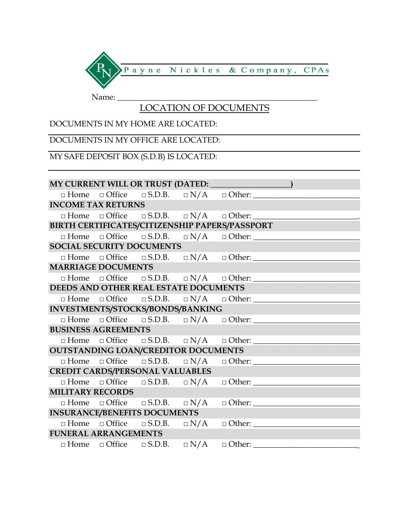

#### LOCATION OF DOCUMENTS

#### DOCUMENTS IN MY HOME ARE LOCATED:

## DOCUMENTS IN MY OFFICE ARE LOCATED:

## MY SAFE DEPOSIT BOX (S.D.B) IS LOCATED:

| MY CURRENT WILL OR TRUST (DATED: 1997)         |  |  |  |                                                                         |  |  |
|------------------------------------------------|--|--|--|-------------------------------------------------------------------------|--|--|
|                                                |  |  |  | $\Box$ Home $\Box$ Office $\Box$ S.D.B. $\Box$ N/A $\Box$ Other:        |  |  |
| <b>INCOME TAX RETURNS</b>                      |  |  |  |                                                                         |  |  |
|                                                |  |  |  | $\Box$ Home $\Box$ Office $\Box$ S.D.B. $\Box$ N/A $\Box$ Other:        |  |  |
| BIRTH CERTIFICATES/CITIZENSHIP PAPERS/PASSPORT |  |  |  |                                                                         |  |  |
|                                                |  |  |  | $\Box$ Home $\Box$ Office $\Box$ S.D.B. $\Box$ N/A $\Box$ Other:        |  |  |
| <b>SOCIAL SECURITY DOCUMENTS</b>               |  |  |  |                                                                         |  |  |
|                                                |  |  |  | $\Box$ Home $\Box$ Office $\Box$ S.D.B. $\Box$ N/A $\Box$ Other:        |  |  |
| <b>MARRIAGE DOCUMENTS</b>                      |  |  |  |                                                                         |  |  |
|                                                |  |  |  | $\Box$ Home $\Box$ Office $\Box$ S.D.B. $\Box$ N/A $\Box$ Other:        |  |  |
| DEEDS AND OTHER REAL ESTATE DOCUMENTS          |  |  |  |                                                                         |  |  |
|                                                |  |  |  | $\Box$ Home $\Box$ Office $\Box$ S.D.B. $\Box$ N/A $\Box$ Other:        |  |  |
| INVESTMENTS/STOCKS/BONDS/BANKING               |  |  |  |                                                                         |  |  |
|                                                |  |  |  | $\Box$ Home $\Box$ Office $\Box$ S.D.B. $\Box$ N/A $\Box$ Other:        |  |  |
| <b>BUSINESS AGREEMENTS</b>                     |  |  |  |                                                                         |  |  |
|                                                |  |  |  | $\Box$ Home $\Box$ Office $\Box$ S.D.B. $\Box$ N/A $\Box$ Other:        |  |  |
| OUTSTANDING LOAN/CREDITOR DOCUMENTS            |  |  |  |                                                                         |  |  |
|                                                |  |  |  | $\Box$ Home $\Box$ Office $\Box$ S.D.B. $\Box$ N/A $\Box$ Other: ______ |  |  |
| <b>CREDIT CARDS/PERSONAL VALUABLES</b>         |  |  |  |                                                                         |  |  |
|                                                |  |  |  | $\Box$ Home $\Box$ Office $\Box$ S.D.B. $\Box$ N/A $\Box$ Other:        |  |  |
| <b>MILITARY RECORDS</b>                        |  |  |  |                                                                         |  |  |
|                                                |  |  |  |                                                                         |  |  |
| <b>INSURANCE/BENEFITS DOCUMENTS</b>            |  |  |  |                                                                         |  |  |
|                                                |  |  |  | $\Box$ Home $\Box$ Office $\Box$ S.D.B. $\Box$ N/A $\Box$ Other:        |  |  |
| <b>FUNERAL ARRANGEMENTS</b>                    |  |  |  |                                                                         |  |  |
|                                                |  |  |  | $\Box$ Home $\Box$ Office $\Box$ S.D.B. $\Box$ N/A $\Box$ Other:        |  |  |